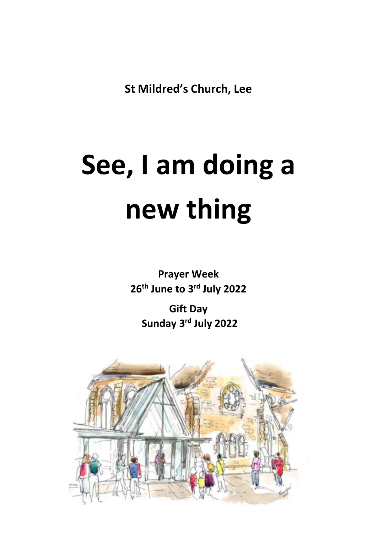**St Mildred's Church, Lee**

# **See, I am doing a new thing**

**Prayer Week 26th June to 3 rd July 2022**

**Gift Day Sunday 3 rd July 2022**

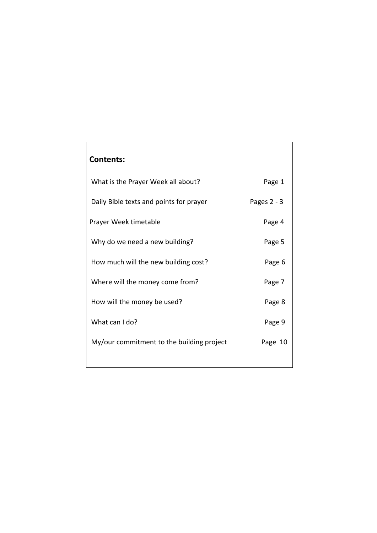# **Contents:**

| What is the Prayer Week all about?        | Page 1        |
|-------------------------------------------|---------------|
| Daily Bible texts and points for prayer   | Pages $2 - 3$ |
| Prayer Week timetable                     | Page 4        |
| Why do we need a new building?            | Page 5        |
| How much will the new building cost?      | Page 6        |
| Where will the money come from?           | Page 7        |
| How will the money be used?               | Page 8        |
| What can I do?                            | Page 9        |
| My/our commitment to the building project | Page 10       |
|                                           |               |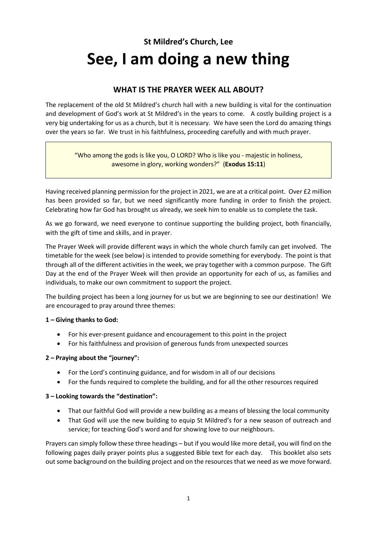# **St Mildred's Church, Lee See, I am doing a new thing**

# **WHAT IS THE PRAYER WEEK ALL ABOUT?**

The replacement of the old St Mildred's church hall with a new building is vital for the continuation and development of God's work at St Mildred's in the years to come. A costly building project is a very big undertaking for us as a church, but it is necessary. We have seen the Lord do amazing things over the years so far. We trust in his faithfulness, proceeding carefully and with much prayer.

> "Who among the gods is like you, O LORD? Who is like you - majestic in holiness, awesome in glory, working wonders?" (**Exodus 15:11**)

Having received planning permission for the project in 2021, we are at a critical point. Over £2 million has been provided so far, but we need significantly more funding in order to finish the project. Celebrating how far God has brought us already, we seek him to enable us to complete the task.

As we go forward, we need everyone to continue supporting the building project, both financially, with the gift of time and skills, and in prayer.

The Prayer Week will provide different ways in which the whole church family can get involved. The timetable for the week (see below) is intended to provide something for everybody. The point is that through all of the different activities in the week, we pray together with a common purpose. The Gift Day at the end of the Prayer Week will then provide an opportunity for each of us, as families and individuals, to make our own commitment to support the project.

The building project has been a long journey for us but we are beginning to see our destination! We are encouraged to pray around three themes:

#### **1 – Giving thanks to God:**

- For his ever-present guidance and encouragement to this point in the project
- For his faithfulness and provision of generous funds from unexpected sources

#### **2 – Praying about the "journey":**

- For the Lord's continuing guidance, and for wisdom in all of our decisions
- For the funds required to complete the building, and for all the other resources required

#### **3 – Looking towards the "destination":**

- That our faithful God will provide a new building as a means of blessing the local community
- That God will use the new building to equip St Mildred's for a new season of outreach and service; for teaching God's word and for showing love to our neighbours.

Prayers can simply follow these three headings – but if you would like more detail, you will find on the following pages daily prayer points plus a suggested Bible text for each day. This booklet also sets out some background on the building project and on the resources that we need as we move forward.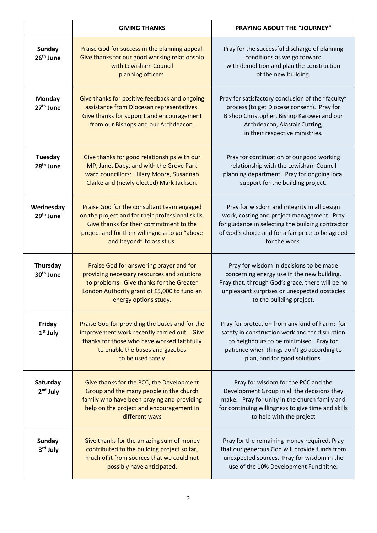|                                        | <b>GIVING THANKS</b>                                                                                                                                                                                                      | <b>PRAYING ABOUT THE "JOURNEY"</b>                                                                                                                                                                                         |
|----------------------------------------|---------------------------------------------------------------------------------------------------------------------------------------------------------------------------------------------------------------------------|----------------------------------------------------------------------------------------------------------------------------------------------------------------------------------------------------------------------------|
| <b>Sunday</b><br>26 <sup>th</sup> June | Praise God for success in the planning appeal.<br>Give thanks for our good working relationship<br>with Lewisham Council<br>planning officers.                                                                            | Pray for the successful discharge of planning<br>conditions as we go forward<br>with demolition and plan the construction<br>of the new building.                                                                          |
| <b>Monday</b><br>27 <sup>th</sup> June | Give thanks for positive feedback and ongoing<br>assistance from Diocesan representatives.<br>Give thanks for support and encouragement<br>from our Bishops and our Archdeacon.                                           | Pray for satisfactory conclusion of the "faculty"<br>process (to get Diocese consent). Pray for<br>Bishop Christopher, Bishop Karowei and our<br>Archdeacon, Alastair Cutting,<br>in their respective ministries.          |
| Tuesday<br>28 <sup>th</sup> June       | Give thanks for good relationships with our<br>MP, Janet Daby, and with the Grove Park<br>ward councillors: Hilary Moore, Susannah<br>Clarke and (newly elected) Mark Jackson.                                            | Pray for continuation of our good working<br>relationship with the Lewisham Council<br>planning department. Pray for ongoing local<br>support for the building project.                                                    |
| Wednesday<br>29 <sup>th</sup> June     | Praise God for the consultant team engaged<br>on the project and for their professional skills.<br>Give thanks for their commitment to the<br>project and for their willingness to go "above<br>and beyond" to assist us. | Pray for wisdom and integrity in all design<br>work, costing and project management. Pray<br>for guidance in selecting the building contractor<br>of God's choice and for a fair price to be agreed<br>for the work.       |
| Thursday<br>30 <sup>th</sup> June      | Praise God for answering prayer and for<br>providing necessary resources and solutions<br>to problems. Give thanks for the Greater<br>London Authority grant of £5,000 to fund an<br>energy options study.                | Pray for wisdom in decisions to be made<br>concerning energy use in the new building.<br>Pray that, through God's grace, there will be no<br>unpleasant surprises or unexpected obstacles<br>to the building project.      |
| Friday<br>$1st$ July                   | Praise God for providing the buses and for the<br>improvement work recently carried out. Give<br>thanks for those who have worked faithfully<br>to enable the buses and gazebos<br>to be used safely.                     | Pray for protection from any kind of harm: for<br>safety in construction work and for disruption<br>to neighbours to be minimised. Pray for<br>patience when things don't go according to<br>plan, and for good solutions. |
| Saturday<br>$2nd$ July                 | Give thanks for the PCC, the Development<br>Group and the many people in the church<br>family who have been praying and providing<br>help on the project and encouragement in<br>different ways                           | Pray for wisdom for the PCC and the<br>Development Group in all the decisions they<br>make. Pray for unity in the church family and<br>for continuing willingness to give time and skills<br>to help with the project      |
| <b>Sunday</b><br>3rd July              | Give thanks for the amazing sum of money<br>contributed to the building project so far,<br>much of it from sources that we could not<br>possibly have anticipated.                                                        | Pray for the remaining money required. Pray<br>that our generous God will provide funds from<br>unexpected sources. Pray for wisdom in the<br>use of the 10% Development Fund tithe.                                       |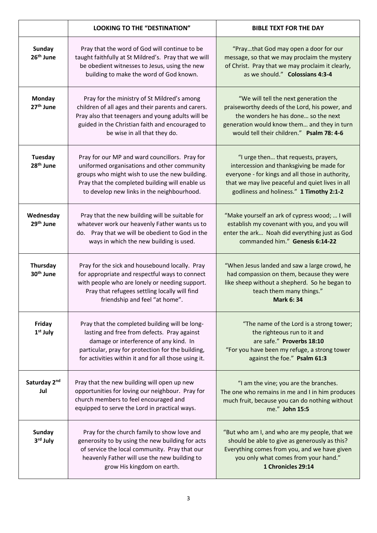|                                         | <b>LOOKING TO THE "DESTINATION"</b>                                                                                                                                                                                                                  | <b>BIBLE TEXT FOR THE DAY</b>                                                                                                                                                                                                         |
|-----------------------------------------|------------------------------------------------------------------------------------------------------------------------------------------------------------------------------------------------------------------------------------------------------|---------------------------------------------------------------------------------------------------------------------------------------------------------------------------------------------------------------------------------------|
| <b>Sunday</b><br>26 <sup>th</sup> June  | Pray that the word of God will continue to be<br>taught faithfully at St Mildred's. Pray that we will<br>be obedient witnesses to Jesus, using the new<br>building to make the word of God known.                                                    | "Praythat God may open a door for our<br>message, so that we may proclaim the mystery<br>of Christ. Pray that we may proclaim it clearly,<br>as we should." Colossians 4:3-4                                                          |
| <b>Monday</b><br>27 <sup>th</sup> June  | Pray for the ministry of St Mildred's among<br>children of all ages and their parents and carers.<br>Pray also that teenagers and young adults will be<br>guided in the Christian faith and encouraged to<br>be wise in all that they do.            | "We will tell the next generation the<br>praiseworthy deeds of the Lord, his power, and<br>the wonders he has done so the next<br>generation would know them and they in turn<br>would tell their children." Psalm 78: 4-6            |
| <b>Tuesday</b><br>28 <sup>th</sup> June | Pray for our MP and ward councillors. Pray for<br>uniformed organisations and other community<br>groups who might wish to use the new building.<br>Pray that the completed building will enable us<br>to develop new links in the neighbourhood.     | "I urge then that requests, prayers,<br>intercession and thanksgiving be made for<br>everyone - for kings and all those in authority,<br>that we may live peaceful and quiet lives in all<br>godliness and holiness." 1 Timothy 2:1-2 |
| Wednesday<br>29 <sup>th</sup> June      | Pray that the new building will be suitable for<br>whatever work our heavenly Father wants us to<br>do. Pray that we will be obedient to God in the<br>ways in which the new building is used.                                                       | "Make yourself an ark of cypress wood;  I will<br>establish my covenant with you, and you will<br>enter the ark Noah did everything just as God<br>commanded him." Genesis 6:14-22                                                    |
| Thursday<br>30 <sup>th</sup> June       | Pray for the sick and housebound locally. Pray<br>for appropriate and respectful ways to connect<br>with people who are lonely or needing support.<br>Pray that refugees settling locally will find<br>friendship and feel "at home".                | "When Jesus landed and saw a large crowd, he<br>had compassion on them, because they were<br>like sheep without a shepherd. So he began to<br>teach them many things."<br><b>Mark 6:34</b>                                            |
| Friday<br>1 <sup>st</sup> July          | Pray that the completed building will be long-<br>lasting and free from defects. Pray against<br>damage or interference of any kind. In<br>particular, pray for protection for the building,<br>for activities within it and for all those using it. | "The name of the Lord is a strong tower;<br>the righteous run to it and<br>are safe." Proverbs 18:10<br>"For you have been my refuge, a strong tower<br>against the foe." Psalm 61:3                                                  |
| Saturday 2nd<br>Jul                     | Pray that the new building will open up new<br>opportunities for loving our neighbour. Pray for<br>church members to feel encouraged and<br>equipped to serve the Lord in practical ways.                                                            | "I am the vine; you are the branches.<br>The one who remains in me and I in him produces<br>much fruit, because you can do nothing without<br>me." John 15:5                                                                          |
| <b>Sunday</b><br>3rd July               | Pray for the church family to show love and<br>generosity to by using the new building for acts<br>of service the local community. Pray that our<br>heavenly Father will use the new building to<br>grow His kingdom on earth.                       | "But who am I, and who are my people, that we<br>should be able to give as generously as this?<br>Everything comes from you, and we have given<br>you only what comes from your hand."<br>1 Chronicles 29:14                          |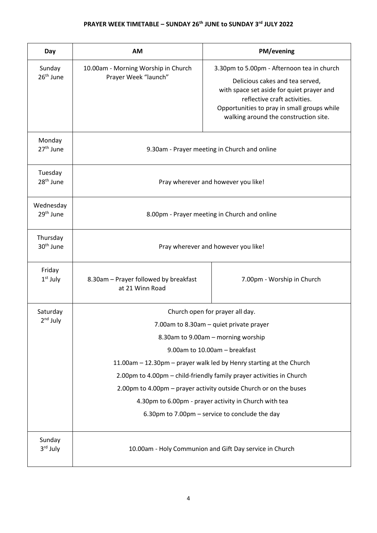# **PRAYER WEEK TIMETABLE – SUNDAY 26th JUNE to SUNDAY 3rd JULY 2022**

| Day                                                   | <b>AM</b>                                                            | PM/evening                                                                                                                                                                                                                                         |  |
|-------------------------------------------------------|----------------------------------------------------------------------|----------------------------------------------------------------------------------------------------------------------------------------------------------------------------------------------------------------------------------------------------|--|
| Sunday<br>26 <sup>th</sup> June                       | 10.00am - Morning Worship in Church<br>Prayer Week "launch"          | 3.30pm to 5.00pm - Afternoon tea in church<br>Delicious cakes and tea served,<br>with space set aside for quiet prayer and<br>reflective craft activities.<br>Opportunities to pray in small groups while<br>walking around the construction site. |  |
| Monday<br>27 <sup>th</sup> June                       | 9.30am - Prayer meeting in Church and online                         |                                                                                                                                                                                                                                                    |  |
| Tuesday<br>28 <sup>th</sup> June                      | Pray wherever and however you like!                                  |                                                                                                                                                                                                                                                    |  |
| Wednesday<br>29 <sup>th</sup> June                    | 8.00pm - Prayer meeting in Church and online                         |                                                                                                                                                                                                                                                    |  |
| Thursday<br>30 <sup>th</sup> June                     | Pray wherever and however you like!                                  |                                                                                                                                                                                                                                                    |  |
| Friday<br>$1st$ July                                  | 8.30am - Prayer followed by breakfast<br>at 21 Winn Road             | 7.00pm - Worship in Church                                                                                                                                                                                                                         |  |
| Saturday                                              | Church open for prayer all day.                                      |                                                                                                                                                                                                                                                    |  |
| $2nd$ July                                            | 7.00am to 8.30am - quiet private prayer                              |                                                                                                                                                                                                                                                    |  |
|                                                       | 8.30am to 9.00am - morning worship                                   |                                                                                                                                                                                                                                                    |  |
|                                                       | 9.00am to 10.00am - breakfast                                        |                                                                                                                                                                                                                                                    |  |
|                                                       | 11.00am - 12.30pm - prayer walk led by Henry starting at the Church  |                                                                                                                                                                                                                                                    |  |
|                                                       | 2.00pm to 4.00pm - child-friendly family prayer activities in Church |                                                                                                                                                                                                                                                    |  |
|                                                       | 2.00pm to 4.00pm - prayer activity outside Church or on the buses    |                                                                                                                                                                                                                                                    |  |
| 4.30pm to 6.00pm - prayer activity in Church with tea |                                                                      |                                                                                                                                                                                                                                                    |  |
|                                                       | 6.30pm to 7.00pm - service to conclude the day                       |                                                                                                                                                                                                                                                    |  |
| Sunday<br>3rd July                                    | 10.00am - Holy Communion and Gift Day service in Church              |                                                                                                                                                                                                                                                    |  |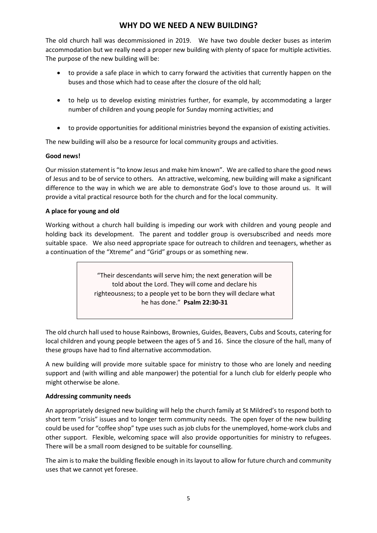# **WHY DO WE NEED A NEW BUILDING?**

The old church hall was decommissioned in 2019. We have two double decker buses as interim accommodation but we really need a proper new building with plenty of space for multiple activities. The purpose of the new building will be:

- to provide a safe place in which to carry forward the activities that currently happen on the buses and those which had to cease after the closure of the old hall;
- to help us to develop existing ministries further, for example, by accommodating a larger number of children and young people for Sunday morning activities; and
- to provide opportunities for additional ministries beyond the expansion of existing activities.

The new building will also be a resource for local community groups and activities.

#### **Good news!**

Our mission statement is "to know Jesus and make him known". We are called to share the good news of Jesus and to be of service to others. An attractive, welcoming, new building will make a significant difference to the way in which we are able to demonstrate God's love to those around us. It will provide a vital practical resource both for the church and for the local community.

#### **A place for young and old**

Working without a church hall building is impeding our work with children and young people and holding back its development. The parent and toddler group is oversubscribed and needs more suitable space. We also need appropriate space for outreach to children and teenagers, whether as a continuation of the "Xtreme" and "Grid" groups or as something new.

> "Their descendants will serve him; the next generation will be told about the Lord. They will come and declare his righteousness; to a people yet to be born they will declare what he has done." **Psalm 22:30-31**

The old church hall used to house Rainbows, Brownies, Guides, Beavers, Cubs and Scouts, catering for local children and young people between the ages of 5 and 16. Since the closure of the hall, many of these groups have had to find alternative accommodation.

A new building will provide more suitable space for ministry to those who are lonely and needing support and (with willing and able manpower) the potential for a lunch club for elderly people who might otherwise be alone.

#### **Addressing community needs**

An appropriately designed new building will help the church family at St Mildred's to respond both to short term "crisis" issues and to longer term community needs. The open foyer of the new building could be used for "coffee shop" type uses such as job clubs for the unemployed, home-work clubs and other support. Flexible, welcoming space will also provide opportunities for ministry to refugees. There will be a small room designed to be suitable for counselling.

The aim is to make the building flexible enough in its layout to allow for future church and community uses that we cannot yet foresee.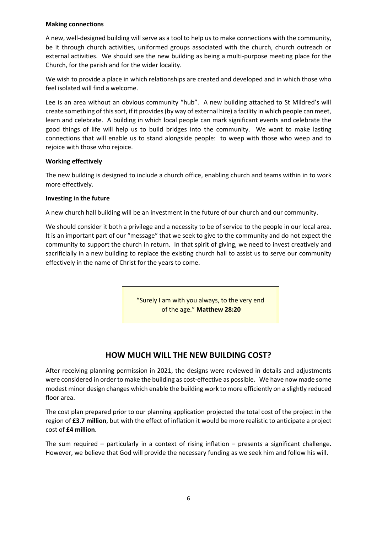#### **Making connections**

A new, well-designed building will serve as a tool to help us to make connections with the community, be it through church activities, uniformed groups associated with the church, church outreach or external activities. We should see the new building as being a multi-purpose meeting place for the Church, for the parish and for the wider locality.

We wish to provide a place in which relationships are created and developed and in which those who feel isolated will find a welcome.

Lee is an area without an obvious community "hub". A new building attached to St Mildred's will create something of this sort, if it provides (by way of external hire) a facility in which people can meet, learn and celebrate. A building in which local people can mark significant events and celebrate the good things of life will help us to build bridges into the community. We want to make lasting connections that will enable us to stand alongside people: to weep with those who weep and to rejoice with those who rejoice.

#### **Working effectively**

The new building is designed to include a church office, enabling church and teams within in to work more effectively.

#### **Investing in the future**

A new church hall building will be an investment in the future of our church and our community.

We should consider it both a privilege and a necessity to be of service to the people in our local area. It is an important part of our "message" that we seek to give to the community and do not expect the community to support the church in return. In that spirit of giving, we need to invest creatively and sacrificially in a new building to replace the existing church hall to assist us to serve our community effectively in the name of Christ for the years to come.

> "Surely I am with you always, to the very end of the age." **Matthew 28:20**

# **HOW MUCH WILL THE NEW BUILDING COST?**

After receiving planning permission in 2021, the designs were reviewed in details and adjustments were considered in order to make the building as cost-effective as possible. We have now made some modest minor design changes which enable the building work to more efficiently on a slightly reduced floor area.

The cost plan prepared prior to our planning application projected the total cost of the project in the region of **£3.7 million**, but with the effect of inflation it would be more realistic to anticipate a project cost of **£4 million**.

The sum required – particularly in a context of rising inflation – presents a significant challenge. However, we believe that God will provide the necessary funding as we seek him and follow his will.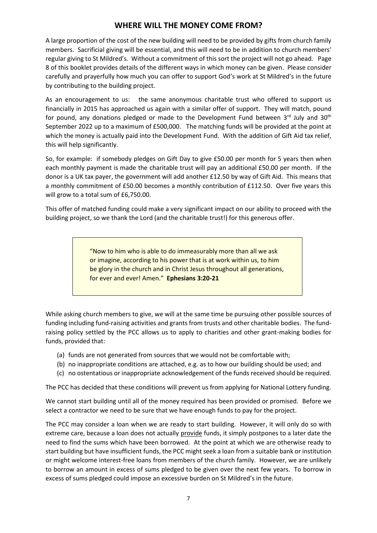### **WHERE WILL THE MONEY COME FROM?**

A large proportion of the cost of the new building will need to be provided by gifts from church family members. Sacrificial giving will be essential, and this will need to be in addition to church members' regular giving to St Mildred's. Without a commitment of this sort the project will not go ahead. Page 8 of this booklet provides details of the different ways in which money can be given. Please consider carefully and prayerfully how much you can offer to support God's work at St Mildred's in the future by contributing to the building project.

As an encouragement to us: the same anonymous charitable trust who offered to support us financially in 2015 has approached us again with a similar offer of support. They will match, pound for pound, any donations pledged or made to the Development Fund between 3rd July and 30<sup>th</sup> September 2022 up to a maximum of £500,000. The matching funds will be provided at the point at which the money is actually paid into the Development Fund. With the addition of Gift Aid tax relief, this will help significantly.

So, for example: if somebody pledges on Gift Day to give £50.00 per month for 5 years then when each monthly payment is made the charitable trust will pay an additional £50.00 per month. If the donor is a UK tax payer, the government will add another £12.50 by way of Gift Aid. This means that a monthly commitment of £50.00 becomes a monthly contribution of £112.50. Over five years this will grow to a total sum of £6,750.00.

This offer of matched funding could make a very significant impact on our ability to proceed with the building project, so we thank the Lord (and the charitable trust!) for this generous offer.

> "Now to him who is able to do immeasurably more than all we ask or imagine, according to his power that is at work within us, to him be glory in the church and in Christ Jesus throughout all generations, for ever and ever! Amen." **Ephesians 3:20-21**

While asking church members to give, we will at the same time be pursuing other possible sources of funding including fund-raising activities and grants from trusts and other charitable bodies. The fundraising policy settled by the PCC allows us to apply to charities and other grant-making bodies for funds, provided that:

- (a) funds are not generated from sources that we would not be comfortable with;
- (b) no inappropriate conditions are attached, e.g. as to how our building should be used; and
- (c) no ostentatious or inappropriate acknowledgement of the funds received should be required.

The PCC has decided that these conditions will prevent us from applying for National Lottery funding.

We cannot start building until all of the money required has been provided or promised. Before we select a contractor we need to be sure that we have enough funds to pay for the project.

The PCC may consider a loan when we are ready to start building. However, it will only do so with extreme care, because a loan does not actually provide funds, it simply postpones to a later date the need to find the sums which have been borrowed. At the point at which we are otherwise ready to start building but have insufficient funds, the PCC might seek a loan from a suitable bank or institution or might welcome interest-free loans from members of the church family. However, we are unlikely to borrow an amount in excess of sums pledged to be given over the next few years. To borrow in excess of sums pledged could impose an excessive burden on St Mildred's in the future.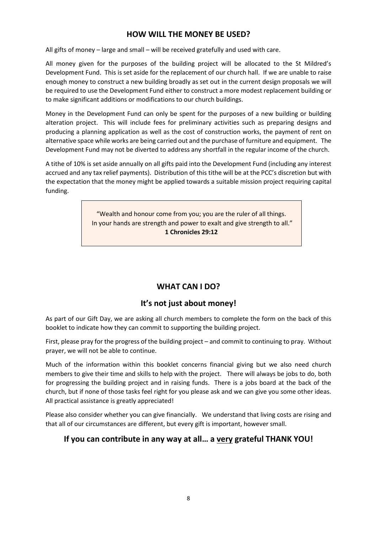# **HOW WILL THE MONEY BE USED?**

All gifts of money – large and small – will be received gratefully and used with care.

All money given for the purposes of the building project will be allocated to the St Mildred's Development Fund. This is set aside for the replacement of our church hall. If we are unable to raise enough money to construct a new building broadly as set out in the current design proposals we will be required to use the Development Fund either to construct a more modest replacement building or to make significant additions or modifications to our church buildings.

Money in the Development Fund can only be spent for the purposes of a new building or building alteration project. This will include fees for preliminary activities such as preparing designs and producing a planning application as well as the cost of construction works, the payment of rent on alternative space while works are being carried out and the purchase of furniture and equipment. The Development Fund may not be diverted to address any shortfall in the regular income of the church.

A tithe of 10% is set aside annually on all gifts paid into the Development Fund (including any interest accrued and any tax relief payments). Distribution of this tithe will be at the PCC's discretion but with the expectation that the money might be applied towards a suitable mission project requiring capital funding.

> "Wealth and honour come from you; you are the ruler of all things. In your hands are strength and power to exalt and give strength to all." **1 Chronicles 29:12**

# **WHAT CAN I DO?**

# **It's not just about money!**

As part of our Gift Day, we are asking all church members to complete the form on the back of this booklet to indicate how they can commit to supporting the building project.

First, please pray for the progress of the building project – and commit to continuing to pray. Without prayer, we will not be able to continue.

Much of the information within this booklet concerns financial giving but we also need church members to give their time and skills to help with the project. There will always be jobs to do, both for progressing the building project and in raising funds. There is a jobs board at the back of the church, but if none of those tasks feel right for you please ask and we can give you some other ideas. All practical assistance is greatly appreciated!

Please also consider whether you can give financially. We understand that living costs are rising and that all of our circumstances are different, but every gift is important, however small.

# **If you can contribute in any way at all… a very grateful THANK YOU!**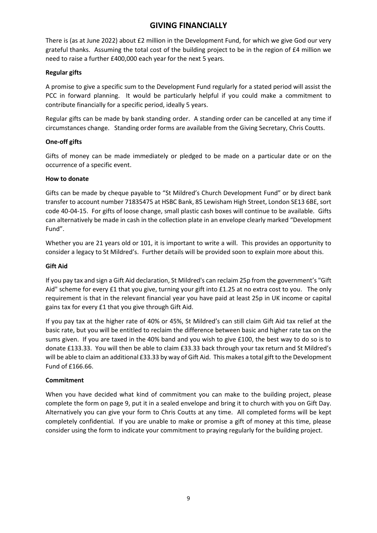# **GIVING FINANCIALLY**

There is (as at June 2022) about £2 million in the Development Fund, for which we give God our very grateful thanks. Assuming the total cost of the building project to be in the region of £4 million we need to raise a further £400,000 each year for the next 5 years.

#### **Regular gifts**

A promise to give a specific sum to the Development Fund regularly for a stated period will assist the PCC in forward planning. It would be particularly helpful if you could make a commitment to contribute financially for a specific period, ideally 5 years.

Regular gifts can be made by bank standing order. A standing order can be cancelled at any time if circumstances change. Standing order forms are available from the Giving Secretary, Chris Coutts.

#### **One-off gifts**

Gifts of money can be made immediately or pledged to be made on a particular date or on the occurrence of a specific event.

#### **How to donate**

Gifts can be made by cheque payable to "St Mildred's Church Development Fund" or by direct bank transfer to account number 71835475 at HSBC Bank, 85 Lewisham High Street, London SE13 6BE, sort code 40-04-15. For gifts of loose change, small plastic cash boxes will continue to be available. Gifts can alternatively be made in cash in the collection plate in an envelope clearly marked "Development Fund".

Whether you are 21 years old or 101, it is important to write a will. This provides an opportunity to consider a legacy to St Mildred's. Further details will be provided soon to explain more about this.

#### **Gift Aid**

If you pay tax and sign a Gift Aid declaration, St Mildred's can reclaim 25p from the government's "Gift Aid" scheme for every £1 that you give, turning your gift into £1.25 at no extra cost to you. The only requirement is that in the relevant financial year you have paid at least 25p in UK income or capital gains tax for every £1 that you give through Gift Aid.

If you pay tax at the higher rate of 40% or 45%, St Mildred's can still claim Gift Aid tax relief at the basic rate, but you will be entitled to reclaim the difference between basic and higher rate tax on the sums given. If you are taxed in the 40% band and you wish to give £100, the best way to do so is to donate £133.33. You will then be able to claim £33.33 back through your tax return and St Mildred's will be able to claim an additional £33.33 by way of Gift Aid. This makes a total gift to the Development Fund of £166.66.

#### **Commitment**

When you have decided what kind of commitment you can make to the building project, please complete the form on page 9, put it in a sealed envelope and bring it to church with you on Gift Day. Alternatively you can give your form to Chris Coutts at any time. All completed forms will be kept completely confidential. If you are unable to make or promise a gift of money at this time, please consider using the form to indicate your commitment to praying regularly for the building project.